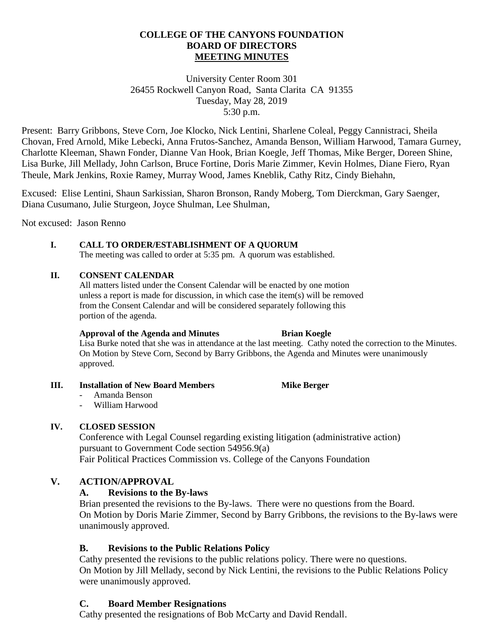#### **COLLEGE OF THE CANYONS FOUNDATION BOARD OF DIRECTORS MEETING MINUTES**

University Center Room 301 26455 Rockwell Canyon Road, Santa Clarita CA 91355 Tuesday, May 28, 2019 5:30 p.m.

Present: Barry Gribbons, Steve Corn, Joe Klocko, Nick Lentini, Sharlene Coleal, Peggy Cannistraci, Sheila Chovan, Fred Arnold, Mike Lebecki, Anna Frutos-Sanchez, Amanda Benson, William Harwood, Tamara Gurney, Charlotte Kleeman, Shawn Fonder, Dianne Van Hook, Brian Koegle, Jeff Thomas, Mike Berger, Doreen Shine, Lisa Burke, Jill Mellady, John Carlson, Bruce Fortine, Doris Marie Zimmer, Kevin Holmes, Diane Fiero, Ryan Theule, Mark Jenkins, Roxie Ramey, Murray Wood, James Kneblik, Cathy Ritz, Cindy Biehahn,

Excused: Elise Lentini, Shaun Sarkissian, Sharon Bronson, Randy Moberg, Tom Dierckman, Gary Saenger, Diana Cusumano, Julie Sturgeon, Joyce Shulman, Lee Shulman,

Not excused: Jason Renno

#### **I. CALL TO ORDER/ESTABLISHMENT OF A QUORUM**

The meeting was called to order at 5:35 pm. A quorum was established.

#### **II. CONSENT CALENDAR**

All matters listed under the Consent Calendar will be enacted by one motion unless a report is made for discussion, in which case the item(s) will be removed from the Consent Calendar and will be considered separately following this portion of the agenda.

#### **Approval of the Agenda and Minutes Brian Koegle**

Lisa Burke noted that she was in attendance at the last meeting. Cathy noted the correction to the Minutes. On Motion by Steve Corn, Second by Barry Gribbons, the Agenda and Minutes were unanimously approved.

**III.** Installation of New Board Members **Mike Berger** 

## - Amanda Benson

- William Harwood

## **IV. CLOSED SESSION**

Conference with Legal Counsel regarding existing litigation (administrative action) pursuant to Government Code section 54956.9(a) Fair Political Practices Commission vs. College of the Canyons Foundation

## **V. ACTION/APPROVAL**

## **A. Revisions to the By-laws**

Brian presented the revisions to the By-laws. There were no questions from the Board. On Motion by Doris Marie Zimmer, Second by Barry Gribbons, the revisions to the By-laws were unanimously approved.

## **B. Revisions to the Public Relations Policy**

Cathy presented the revisions to the public relations policy. There were no questions. On Motion by Jill Mellady, second by Nick Lentini, the revisions to the Public Relations Policy were unanimously approved.

## **C. Board Member Resignations**

Cathy presented the resignations of Bob McCarty and David Rendall.